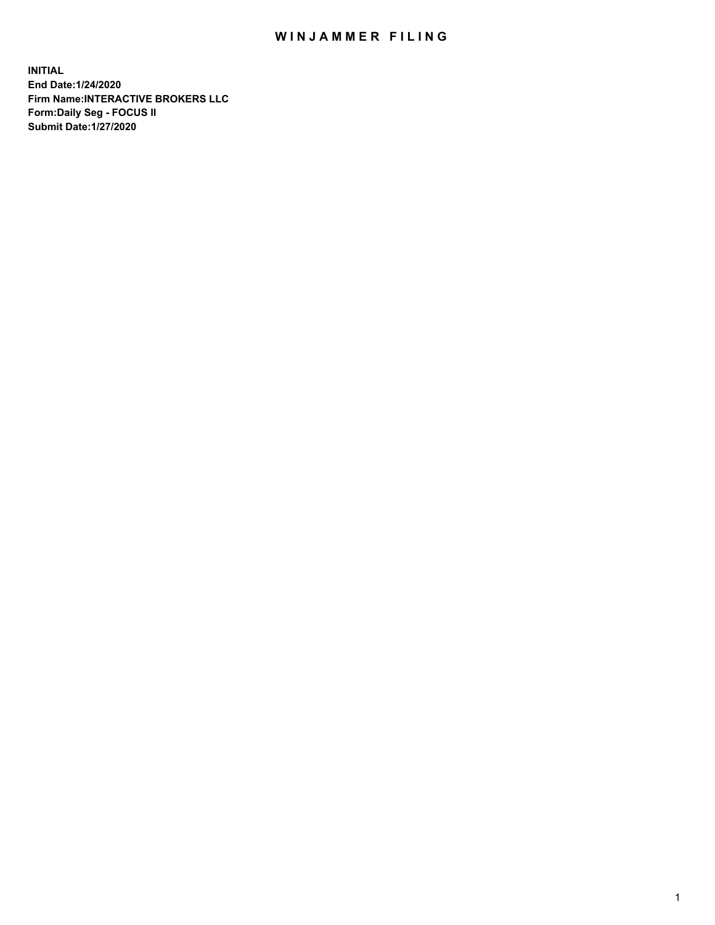## WIN JAMMER FILING

**INITIAL End Date:1/24/2020 Firm Name:INTERACTIVE BROKERS LLC Form:Daily Seg - FOCUS II Submit Date:1/27/2020**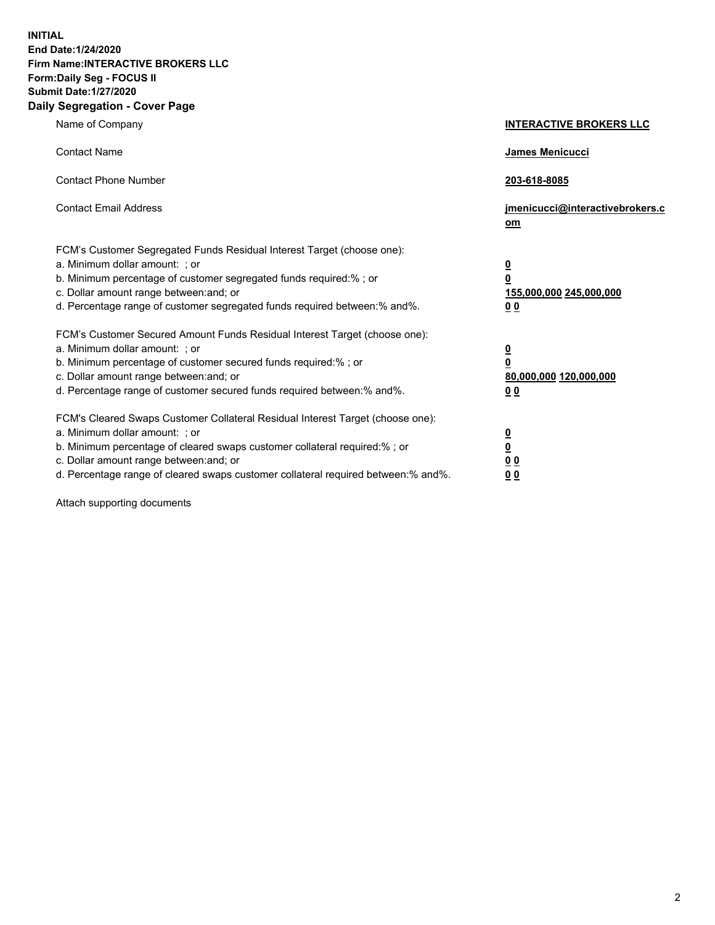**INITIAL End Date:1/24/2020 Firm Name:INTERACTIVE BROKERS LLC Form:Daily Seg - FOCUS II Submit Date:1/27/2020 Daily Segregation - Cover Page**

| Name of Company                                                                                                                                                                                                                                                                                                                | <b>INTERACTIVE BROKERS LLC</b>                                                                 |
|--------------------------------------------------------------------------------------------------------------------------------------------------------------------------------------------------------------------------------------------------------------------------------------------------------------------------------|------------------------------------------------------------------------------------------------|
| <b>Contact Name</b>                                                                                                                                                                                                                                                                                                            | <b>James Menicucci</b>                                                                         |
| <b>Contact Phone Number</b>                                                                                                                                                                                                                                                                                                    | 203-618-8085                                                                                   |
| <b>Contact Email Address</b>                                                                                                                                                                                                                                                                                                   | jmenicucci@interactivebrokers.c<br>om                                                          |
| FCM's Customer Segregated Funds Residual Interest Target (choose one):<br>a. Minimum dollar amount: ; or<br>b. Minimum percentage of customer segregated funds required:% ; or<br>c. Dollar amount range between: and; or<br>d. Percentage range of customer segregated funds required between:% and%.                         | $\overline{\mathbf{0}}$<br>$\overline{\mathbf{0}}$<br>155,000,000 245,000,000<br>00            |
| FCM's Customer Secured Amount Funds Residual Interest Target (choose one):<br>a. Minimum dollar amount: ; or<br>b. Minimum percentage of customer secured funds required:% ; or<br>c. Dollar amount range between: and; or<br>d. Percentage range of customer secured funds required between:% and%.                           | $\overline{\mathbf{0}}$<br>$\overline{\mathbf{0}}$<br>80,000,000 120,000,000<br>0 <sub>0</sub> |
| FCM's Cleared Swaps Customer Collateral Residual Interest Target (choose one):<br>a. Minimum dollar amount: ; or<br>b. Minimum percentage of cleared swaps customer collateral required:% ; or<br>c. Dollar amount range between: and; or<br>d. Percentage range of cleared swaps customer collateral required between:% and%. | $\overline{\mathbf{0}}$<br><u>0</u><br>0 <sub>0</sub><br>00                                    |

Attach supporting documents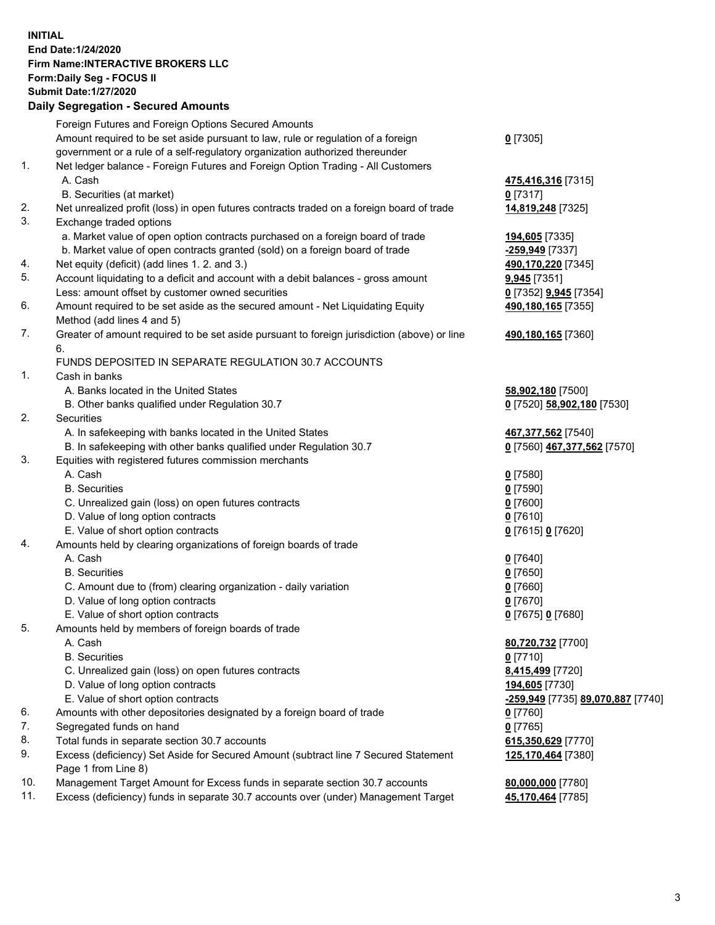**INITIAL End Date:1/24/2020 Firm Name:INTERACTIVE BROKERS LLC Form:Daily Seg - FOCUS II Submit Date:1/27/2020 Daily Segregation - Secured Amounts**

## Foreign Futures and Foreign Options Secured Amounts Amount required to be set aside pursuant to law, rule or regulation of a foreign government or a rule of a self-regulatory organization authorized thereunder **0** [7305] 1. Net ledger balance - Foreign Futures and Foreign Option Trading - All Customers A. Cash **475,416,316** [7315] B. Securities (at market) **0** [7317] 2. Net unrealized profit (loss) in open futures contracts traded on a foreign board of trade **14,819,248** [7325] 3. Exchange traded options a. Market value of open option contracts purchased on a foreign board of trade **194,605** [7335] b. Market value of open contracts granted (sold) on a foreign board of trade **-259,949** [7337] 4. Net equity (deficit) (add lines 1. 2. and 3.) **490,170,220** [7345] 5. Account liquidating to a deficit and account with a debit balances - gross amount **9,945** [7351] Less: amount offset by customer owned securities **0** [7352] **9,945** [7354] 6. Amount required to be set aside as the secured amount - Net Liquidating Equity Method (add lines 4 and 5) **490,180,165** [7355] 7. Greater of amount required to be set aside pursuant to foreign jurisdiction (above) or line 6. **490,180,165** [7360] FUNDS DEPOSITED IN SEPARATE REGULATION 30.7 ACCOUNTS 1. Cash in banks A. Banks located in the United States **58,902,180** [7500] B. Other banks qualified under Regulation 30.7 **0** [7520] **58,902,180** [7530] 2. Securities A. In safekeeping with banks located in the United States **467,377,562** [7540] B. In safekeeping with other banks qualified under Regulation 30.7 **0** [7560] **467,377,562** [7570] 3. Equities with registered futures commission merchants A. Cash **0** [7580] B. Securities **0** [7590] C. Unrealized gain (loss) on open futures contracts **0** [7600] D. Value of long option contracts **0** [7610] E. Value of short option contracts **0** [7615] **0** [7620] 4. Amounts held by clearing organizations of foreign boards of trade A. Cash **0** [7640] B. Securities **0** [7650] C. Amount due to (from) clearing organization - daily variation **0** [7660] D. Value of long option contracts **0** [7670] E. Value of short option contracts **0** [7675] **0** [7680] 5. Amounts held by members of foreign boards of trade A. Cash **80,720,732** [7700] B. Securities **0** [7710] C. Unrealized gain (loss) on open futures contracts **8,415,499** [7720] D. Value of long option contracts **194,605** [7730] E. Value of short option contracts **-259,949** [7735] **89,070,887** [7740] 6. Amounts with other depositories designated by a foreign board of trade **0** [7760] 7. Segregated funds on hand **0** [7765] 8. Total funds in separate section 30.7 accounts **615,350,629** [7770] 9. Excess (deficiency) Set Aside for Secured Amount (subtract line 7 Secured Statement Page 1 from Line 8) **125,170,464** [7380] 10. Management Target Amount for Excess funds in separate section 30.7 accounts **80,000,000** [7780] 11. Excess (deficiency) funds in separate 30.7 accounts over (under) Management Target **45,170,464** [7785]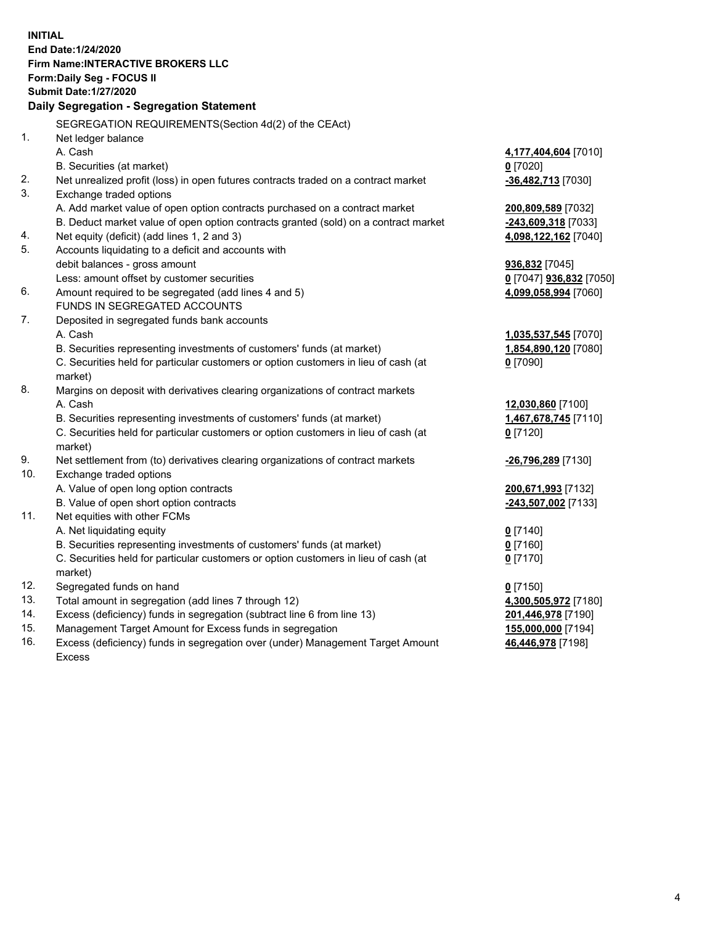**INITIAL End Date:1/24/2020 Firm Name:INTERACTIVE BROKERS LLC Form:Daily Seg - FOCUS II Submit Date:1/27/2020 Daily Segregation - Segregation Statement** SEGREGATION REQUIREMENTS(Section 4d(2) of the CEAct) 1. Net ledger balance A. Cash **4,177,404,604** [7010] B. Securities (at market) **0** [7020] 2. Net unrealized profit (loss) in open futures contracts traded on a contract market **-36,482,713** [7030] 3. Exchange traded options A. Add market value of open option contracts purchased on a contract market **200,809,589** [7032] B. Deduct market value of open option contracts granted (sold) on a contract market **-243,609,318** [7033] 4. Net equity (deficit) (add lines 1, 2 and 3) **4,098,122,162** [7040] 5. Accounts liquidating to a deficit and accounts with debit balances - gross amount **936,832** [7045] Less: amount offset by customer securities **0** [7047] **936,832** [7050] 6. Amount required to be segregated (add lines 4 and 5) **4,099,058,994** [7060] FUNDS IN SEGREGATED ACCOUNTS 7. Deposited in segregated funds bank accounts A. Cash **1,035,537,545** [7070] B. Securities representing investments of customers' funds (at market) **1,854,890,120** [7080] C. Securities held for particular customers or option customers in lieu of cash (at market) **0** [7090] 8. Margins on deposit with derivatives clearing organizations of contract markets A. Cash **12,030,860** [7100] B. Securities representing investments of customers' funds (at market) **1,467,678,745** [7110] C. Securities held for particular customers or option customers in lieu of cash (at market) **0** [7120] 9. Net settlement from (to) derivatives clearing organizations of contract markets **-26,796,289** [7130] 10. Exchange traded options A. Value of open long option contracts **200,671,993** [7132] B. Value of open short option contracts **-243,507,002** [7133] 11. Net equities with other FCMs A. Net liquidating equity **0** [7140] B. Securities representing investments of customers' funds (at market) **0** [7160] C. Securities held for particular customers or option customers in lieu of cash (at market) **0** [7170] 12. Segregated funds on hand **0** [7150] 13. Total amount in segregation (add lines 7 through 12) **4,300,505,972** [7180] 14. Excess (deficiency) funds in segregation (subtract line 6 from line 13) **201,446,978** [7190] 15. Management Target Amount for Excess funds in segregation **155,000,000** [7194] **46,446,978** [7198]

16. Excess (deficiency) funds in segregation over (under) Management Target Amount Excess